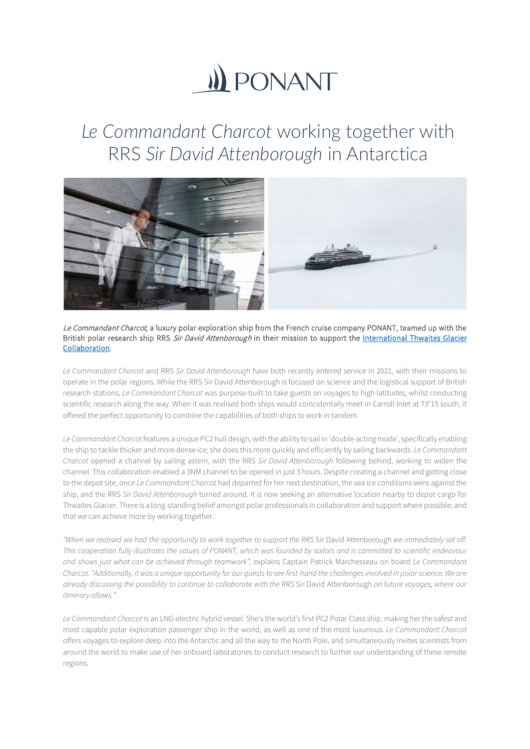## **II) PONANT**

## *Le Commandant Charcot* working together with RRS *Sir David Attenborough* in Antarctica



Le Commandant Charcot, a luxury polar exploration ship from the French cruise company PONANT, teamed up with the British polar research ship RRS Sir David Attenborough in their mission to support the International Thwaites Glacier [Collaboration.](https://thwaitesglacier.org/) 

*Le Commandant Charcot* and RRS *Sir David Attenborough* have both recently entered service in 2021, with their missions to operate in the polar regions. While the RRS Sir David Attenborough is focused on science and the logistical support of British research stations, *Le Commandant Charcot* was purpose-built to take guests on voyages to high latitudes, whilst conducting scientific research along the way. When it was realised both ships would coincidentally meet in Carroll Inlet at 73°15 south, it offered the perfect opportunity to combine the capabilities of both ships to work in tandem.

*Le Commandant Charcot* features a unique PC2 hull design, with the ability to sail in 'double-acting mode', specifically enabling the ship to tackle thicker and more dense ice; she does this more quickly and efficiently by sailing backwards. *Le Commandant Charcot* opened a channel by sailing astern, with the RRS *Sir David Attenborough* following behind, working to widen the channel. This collaboration enabled a 3NM channel to be opened in just 3 hours. Despite creating a channel and getting close to the depot site, once *Le Commandant Charcot* had departed for her next destination, the sea ice conditions were against the ship, and the RRS *Sir David Attenborough* turned around. It is now seeking an alternative location nearby to depot cargo for Thwaites Glacier. There is a long-standing belief amongst polar professionals in collaboration and support where possible; and that we can achieve more by working together.

*"When we realised we had the opportunity to work together to support the RRS* Sir David Attenborough *we immediately set off. This cooperation fully illustrates the values of PONANT, which was founded by sailors and is committed to scientific endeavour and shows just what can be achieved through teamwork",* explains Captain Patrick Marchesseau on board *Le Commandant Charcot."Additionally, it was a unique opportunity for our guests to see first-hand the challenges involved in polar science. We are already discussing the possibility to continue to collaborate with the RRS* Sir David Attenborough *on future voyages, where our itinerary allows."* 

*Le Commandant Charcot* is an LNG-electric hybrid vessel. She's the world's first PC2 Polar Class ship, making her the safest and most capable polar exploration passenger ship in the world, as well as one of the most luxurious. *Le Commandant Charcot* offers voyages to explore deep into the Antarctic and all the way to the North Pole, and simultaneously invites scientists from around the world to make use of her onboard laboratories to conduct research to further our understanding of these remote regions.